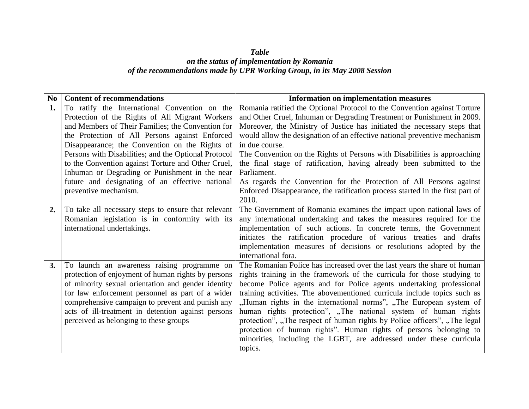## *Table on the status of implementation by Romania of the recommendations made by UPR Working Group, in its May 2008 Session*

| $\mathbf{N}\mathbf{o}$ | <b>Content of recommendations</b>                    | <b>Information on implementation measures</b>                                 |
|------------------------|------------------------------------------------------|-------------------------------------------------------------------------------|
| 1.                     | To ratify the International Convention on the        | Romania ratified the Optional Protocol to the Convention against Torture      |
|                        | Protection of the Rights of All Migrant Workers      | and Other Cruel, Inhuman or Degrading Treatment or Punishment in 2009.        |
|                        | and Members of Their Families; the Convention for    | Moreover, the Ministry of Justice has initiated the necessary steps that      |
|                        | the Protection of All Persons against Enforced       | would allow the designation of an effective national preventive mechanism     |
|                        | Disappearance; the Convention on the Rights of       | in due course.                                                                |
|                        | Persons with Disabilities; and the Optional Protocol | The Convention on the Rights of Persons with Disabilities is approaching      |
|                        | to the Convention against Torture and Other Cruel,   | the final stage of ratification, having already been submitted to the         |
|                        | Inhuman or Degrading or Punishment in the near       | Parliament.                                                                   |
|                        | future and designating of an effective national      | As regards the Convention for the Protection of All Persons against           |
|                        | preventive mechanism.                                | Enforced Disappearance, the ratification process started in the first part of |
|                        |                                                      | 2010.                                                                         |
| $\overline{2}$ .       | To take all necessary steps to ensure that relevant  | The Government of Romania examines the impact upon national laws of           |
|                        | Romanian legislation is in conformity with its       | any international undertaking and takes the measures required for the         |
|                        | international undertakings.                          | implementation of such actions. In concrete terms, the Government             |
|                        |                                                      | initiates the ratification procedure of various treaties and drafts           |
|                        |                                                      | implementation measures of decisions or resolutions adopted by the            |
|                        |                                                      | international fora.                                                           |
| 3.                     | To launch an awareness raising programme on          | The Romanian Police has increased over the last years the share of human      |
|                        | protection of enjoyment of human rights by persons   | rights training in the framework of the curricula for those studying to       |
|                        | of minority sexual orientation and gender identity   | become Police agents and for Police agents undertaking professional           |
|                        | for law enforcement personnel as part of a wider     | training activities. The abovementioned curricula include topics such as      |
|                        | comprehensive campaign to prevent and punish any     | "Human rights in the international norms", "The European system of            |
|                        | acts of ill-treatment in detention against persons   | human rights protection", "The national system of human rights                |
|                        | perceived as belonging to these groups               | protection", "The respect of human rights by Police officers", "The legal     |
|                        |                                                      | protection of human rights". Human rights of persons belonging to             |
|                        |                                                      | minorities, including the LGBT, are addressed under these curricula           |
|                        |                                                      | topics.                                                                       |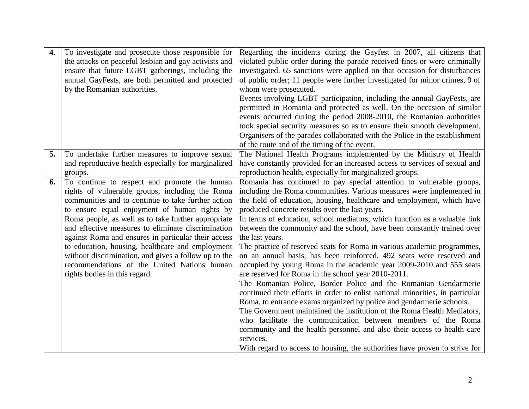| $\overline{4}$ . | To investigate and prosecute those responsible for    | Regarding the incidents during the Gayfest in 2007, all citizens that                                                                           |
|------------------|-------------------------------------------------------|-------------------------------------------------------------------------------------------------------------------------------------------------|
|                  | the attacks on peaceful lesbian and gay activists and | violated public order during the parade received fines or were criminally                                                                       |
|                  | ensure that future LGBT gatherings, including the     | investigated. 65 sanctions were applied on that occasion for disturbances                                                                       |
|                  | annual GayFests, are both permitted and protected     | of public order; 11 people were further investigated for minor crimes, 9 of                                                                     |
|                  | by the Romanian authorities.                          | whom were prosecuted.                                                                                                                           |
|                  |                                                       | Events involving LGBT participation, including the annual GayFests, are                                                                         |
|                  |                                                       | permitted in Romania and protected as well. On the occasion of similar                                                                          |
|                  |                                                       | events occurred during the period 2008-2010, the Romanian authorities                                                                           |
|                  |                                                       | took special security measures so as to ensure their smooth development.                                                                        |
|                  |                                                       | Organisers of the parades collaborated with the Police in the establishment                                                                     |
|                  |                                                       | of the route and of the timing of the event.                                                                                                    |
| 5.               | To undertake further measures to improve sexual       | The National Health Programs implemented by the Ministry of Health                                                                              |
|                  | and reproductive health especially for marginalized   | have constantly provided for an increased access to services of sexual and                                                                      |
|                  | groups.                                               | reproduction health, especially for marginalized groups.                                                                                        |
| 6.               | To continue to respect and promote the human          | Romania has continued to pay special attention to vulnerable groups,                                                                            |
|                  | rights of vulnerable groups, including the Roma       | including the Roma communities. Various measures were implemented in                                                                            |
|                  | communities and to continue to take further action    | the field of education, housing, healthcare and employment, which have                                                                          |
|                  | to ensure equal enjoyment of human rights by          | produced concrete results over the last years.                                                                                                  |
|                  | Roma people, as well as to take further appropriate   | In terms of education, school mediators, which function as a valuable link                                                                      |
|                  | and effective measures to eliminate discrimination    | between the community and the school, have been constantly trained over                                                                         |
|                  | against Roma and ensures in particular their access   | the last years.                                                                                                                                 |
|                  | to education, housing, healthcare and employment      | The practice of reserved seats for Roma in various academic programmes,                                                                         |
|                  | without discrimination, and gives a follow up to the  | on an annual basis, has been reinforced. 492 seats were reserved and                                                                            |
|                  | recommendations of the United Nations human           | occupied by young Roma in the academic year 2009-2010 and 555 seats                                                                             |
|                  | rights bodies in this regard.                         | are reserved for Roma in the school year 2010-2011.                                                                                             |
|                  |                                                       | The Romanian Police, Border Police and the Romanian Gendarmerie                                                                                 |
|                  |                                                       | continued their efforts in order to enlist national minorities, in particular                                                                   |
|                  |                                                       | Roma, to entrance exams organized by police and gendarmerie schools.<br>The Government maintained the institution of the Roma Health Mediators, |
|                  |                                                       |                                                                                                                                                 |
|                  |                                                       | who facilitate the communication between members of the Roma<br>community and the health personnel and also their access to health care         |
|                  |                                                       | services.                                                                                                                                       |
|                  |                                                       | With regard to access to housing, the authorities have proven to strive for                                                                     |
|                  |                                                       |                                                                                                                                                 |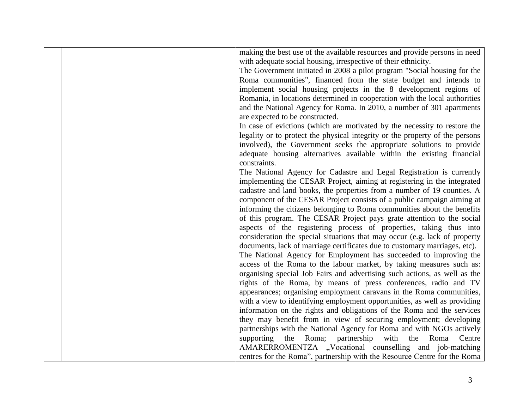|  | making the best use of the available resources and provide persons in need   |
|--|------------------------------------------------------------------------------|
|  |                                                                              |
|  | with adequate social housing, irrespective of their ethnicity.               |
|  | The Government initiated in 2008 a pilot program "Social housing for the     |
|  | Roma communities", financed from the state budget and intends to             |
|  | implement social housing projects in the 8 development regions of            |
|  | Romania, in locations determined in cooperation with the local authorities   |
|  | and the National Agency for Roma. In 2010, a number of 301 apartments        |
|  | are expected to be constructed.                                              |
|  | In case of evictions (which are motivated by the necessity to restore the    |
|  | legality or to protect the physical integrity or the property of the persons |
|  | involved), the Government seeks the appropriate solutions to provide         |
|  | adequate housing alternatives available within the existing financial        |
|  | constraints.                                                                 |
|  | The National Agency for Cadastre and Legal Registration is currently         |
|  | implementing the CESAR Project, aiming at registering in the integrated      |
|  | cadastre and land books, the properties from a number of 19 counties. A      |
|  | component of the CESAR Project consists of a public campaign aiming at       |
|  |                                                                              |
|  | informing the citizens belonging to Roma communities about the benefits      |
|  | of this program. The CESAR Project pays grate attention to the social        |
|  | aspects of the registering process of properties, taking thus into           |
|  | consideration the special situations that may occur (e.g. lack of property   |
|  | documents, lack of marriage certificates due to customary marriages, etc).   |
|  | The National Agency for Employment has succeeded to improving the            |
|  | access of the Roma to the labour market, by taking measures such as:         |
|  | organising special Job Fairs and advertising such actions, as well as the    |
|  | rights of the Roma, by means of press conferences, radio and TV              |
|  | appearances; organising employment caravans in the Roma communities,         |
|  | with a view to identifying employment opportunities, as well as providing    |
|  | information on the rights and obligations of the Roma and the services       |
|  | they may benefit from in view of securing employment; developing             |
|  | partnerships with the National Agency for Roma and with NGOs actively        |
|  | Roma;<br>partnership with the Roma<br>supporting<br>the<br>Centre            |
|  | AMARERROMENTZA "Vocational counselling and job-matching                      |
|  | centres for the Roma", partnership with the Resource Centre for the Roma     |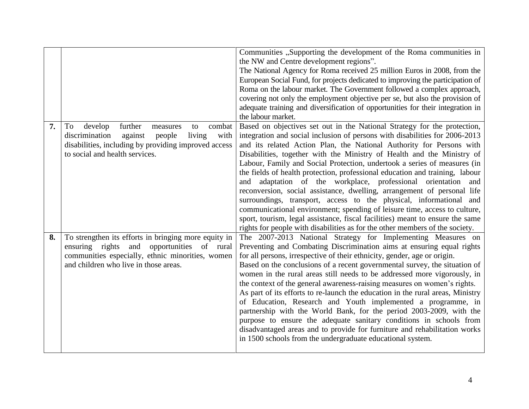|    |                                                                                                                                                                                                         | Communities "Supporting the development of the Roma communities in<br>the NW and Centre development regions".<br>The National Agency for Roma received 25 million Euros in 2008, from the<br>European Social Fund, for projects dedicated to improving the participation of<br>Roma on the labour market. The Government followed a complex approach,<br>covering not only the employment objective per se, but also the provision of<br>adequate training and diversification of opportunities for their integration in<br>the labour market.                                                                                                                                                                                                                                                                                                                                                                                        |
|----|---------------------------------------------------------------------------------------------------------------------------------------------------------------------------------------------------------|---------------------------------------------------------------------------------------------------------------------------------------------------------------------------------------------------------------------------------------------------------------------------------------------------------------------------------------------------------------------------------------------------------------------------------------------------------------------------------------------------------------------------------------------------------------------------------------------------------------------------------------------------------------------------------------------------------------------------------------------------------------------------------------------------------------------------------------------------------------------------------------------------------------------------------------|
| 7. | develop<br>further<br>combat<br>To<br>measures<br>to<br>against<br>discrimination<br>people<br>living<br>with<br>disabilities, including by providing improved access<br>to social and health services. | Based on objectives set out in the National Strategy for the protection,<br>integration and social inclusion of persons with disabilities for 2006-2013<br>and its related Action Plan, the National Authority for Persons with<br>Disabilities, together with the Ministry of Health and the Ministry of<br>Labour, Family and Social Protection, undertook a series of measures (in<br>the fields of health protection, professional education and training, labour<br>and adaptation of the workplace, professional orientation and<br>reconversion, social assistance, dwelling, arrangement of personal life<br>surroundings, transport, access to the physical, informational and<br>communicational environment; spending of leisure time, access to culture,<br>sport, tourism, legal assistance, fiscal facilities) meant to ensure the same<br>rights for people with disabilities as for the other members of the society. |
| 8. | To strengthen its efforts in bringing more equity in<br>ensuring rights and opportunities of rural<br>communities especially, ethnic minorities, women<br>and children who live in those areas.         | The 2007-2013 National Strategy for Implementing Measures on<br>Preventing and Combating Discrimination aims at ensuring equal rights<br>for all persons, irrespective of their ethnicity, gender, age or origin.<br>Based on the conclusions of a recent governmental survey, the situation of<br>women in the rural areas still needs to be addressed more vigorously, in<br>the context of the general awareness-raising measures on women's rights.<br>As part of its efforts to re-launch the education in the rural areas, Ministry<br>of Education, Research and Youth implemented a programme, in<br>partnership with the World Bank, for the period 2003-2009, with the<br>purpose to ensure the adequate sanitary conditions in schools from<br>disadvantaged areas and to provide for furniture and rehabilitation works<br>in 1500 schools from the undergraduate educational system.                                     |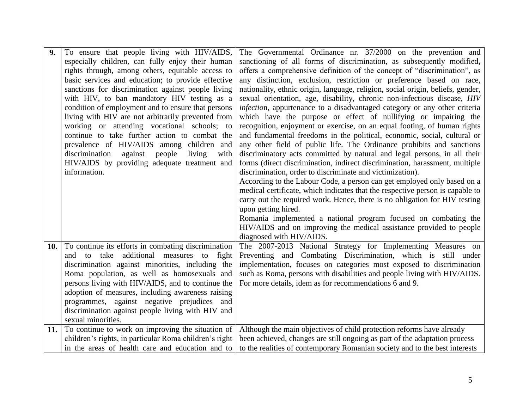| 9.  | To ensure that people living with HIV/AIDS,            | The Governmental Ordinance nr. 37/2000 on the prevention and                    |
|-----|--------------------------------------------------------|---------------------------------------------------------------------------------|
|     | especially children, can fully enjoy their human       | sanctioning of all forms of discrimination, as subsequently modified,           |
|     | rights through, among others, equitable access to      | offers a comprehensive definition of the concept of "discrimination", as        |
|     | basic services and education; to provide effective     | any distinction, exclusion, restriction or preference based on race,            |
|     | sanctions for discrimination against people living     | nationality, ethnic origin, language, religion, social origin, beliefs, gender, |
|     | with HIV, to ban mandatory HIV testing as a            | sexual orientation, age, disability, chronic non-infectious disease, HIV        |
|     | condition of employment and to ensure that persons     | infection, appurtenance to a disadvantaged category or any other criteria       |
|     | living with HIV are not arbitrarily prevented from     | which have the purpose or effect of nullifying or impairing the                 |
|     | working or attending vocational schools; to            | recognition, enjoyment or exercise, on an equal footing, of human rights        |
|     | continue to take further action to combat the          | and fundamental freedoms in the political, economic, social, cultural or        |
|     | prevalence of HIV/AIDS among children and              | any other field of public life. The Ordinance prohibits and sanctions           |
|     | discrimination<br>against<br>people<br>living<br>with  | discriminatory acts committed by natural and legal persons, in all their        |
|     | HIV/AIDS by providing adequate treatment and           | forms (direct discrimination, indirect discrimination, harassment, multiple     |
|     | information.                                           | discrimination, order to discriminate and victimization).                       |
|     |                                                        | According to the Labour Code, a person can get employed only based on a         |
|     |                                                        | medical certificate, which indicates that the respective person is capable to   |
|     |                                                        | carry out the required work. Hence, there is no obligation for HIV testing      |
|     |                                                        | upon getting hired.                                                             |
|     |                                                        | Romania implemented a national program focused on combating the                 |
|     |                                                        | HIV/AIDS and on improving the medical assistance provided to people             |
|     |                                                        | diagnosed with HIV/AIDS.                                                        |
| 10. | To continue its efforts in combating discrimination    | The 2007-2013 National Strategy for Implementing Measures on                    |
|     | and to take additional measures to fight               | Preventing and Combating Discrimination, which is still under                   |
|     | discrimination against minorities, including the       | implementation, focuses on categories most exposed to discrimination            |
|     | Roma population, as well as homosexuals and            | such as Roma, persons with disabilities and people living with HIV/AIDS.        |
|     | persons living with HIV/AIDS, and to continue the      | For more details, idem as for recommendations 6 and 9.                          |
|     | adoption of measures, including awareness raising      |                                                                                 |
|     | programmes, against negative prejudices and            |                                                                                 |
|     | discrimination against people living with HIV and      |                                                                                 |
|     | sexual minorities.                                     |                                                                                 |
| 11. | To continue to work on improving the situation of      | Although the main objectives of child protection reforms have already           |
|     | children's rights, in particular Roma children's right | been achieved, changes are still ongoing as part of the adaptation process      |
|     | in the areas of health care and education and to       | to the realities of contemporary Romanian society and to the best interests     |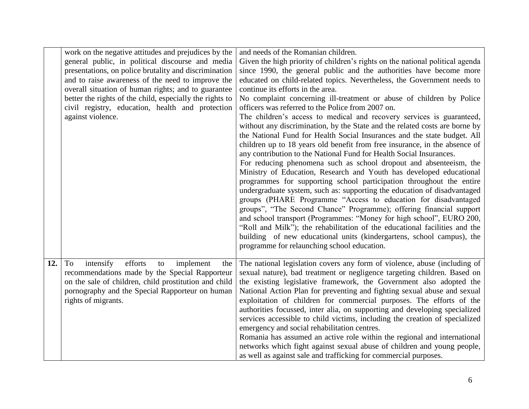|     | work on the negative attitudes and prejudices by the     | and needs of the Romanian children.                                                                                                              |
|-----|----------------------------------------------------------|--------------------------------------------------------------------------------------------------------------------------------------------------|
|     | general public, in political discourse and media         | Given the high priority of children's rights on the national political agenda                                                                    |
|     | presentations, on police brutality and discrimination    | since 1990, the general public and the authorities have become more                                                                              |
|     | and to raise awareness of the need to improve the        | educated on child-related topics. Nevertheless, the Government needs to                                                                          |
|     | overall situation of human rights; and to guarantee      | continue its efforts in the area.                                                                                                                |
|     | better the rights of the child, especially the rights to | No complaint concerning ill-treatment or abuse of children by Police                                                                             |
|     | civil registry, education, health and protection         | officers was referred to the Police from 2007 on.                                                                                                |
|     | against violence.                                        | The children's access to medical and recovery services is guaranteed,                                                                            |
|     |                                                          | without any discrimination, by the State and the related costs are borne by                                                                      |
|     |                                                          | the National Fund for Health Social Insurances and the state budget. All                                                                         |
|     |                                                          | children up to 18 years old benefit from free insurance, in the absence of                                                                       |
|     |                                                          | any contribution to the National Fund for Health Social Insurances.                                                                              |
|     |                                                          | For reducing phenomena such as school dropout and absenteeism, the                                                                               |
|     |                                                          | Ministry of Education, Research and Youth has developed educational                                                                              |
|     |                                                          | programmes for supporting school participation throughout the entire<br>undergraduate system, such as: supporting the education of disadvantaged |
|     |                                                          | groups (PHARE Programme "Access to education for disadvantaged                                                                                   |
|     |                                                          | groups", "The Second Chance" Programme); offering financial support                                                                              |
|     |                                                          | and school transport (Programmes: "Money for high school", EURO 200,                                                                             |
|     |                                                          | "Roll and Milk"); the rehabilitation of the educational facilities and the                                                                       |
|     |                                                          | building of new educational units (kindergartens, school campus), the                                                                            |
|     |                                                          | programme for relaunching school education.                                                                                                      |
|     |                                                          |                                                                                                                                                  |
| 12. | efforts<br>intensify<br>To<br>implement<br>to<br>the     | The national legislation covers any form of violence, abuse (including of                                                                        |
|     | recommendations made by the Special Rapporteur           | sexual nature), bad treatment or negligence targeting children. Based on                                                                         |
|     | on the sale of children, child prostitution and child    | the existing legislative framework, the Government also adopted the                                                                              |
|     | pornography and the Special Rapporteur on human          | National Action Plan for preventing and fighting sexual abuse and sexual                                                                         |
|     | rights of migrants.                                      | exploitation of children for commercial purposes. The efforts of the                                                                             |
|     |                                                          | authorities focussed, inter alia, on supporting and developing specialized                                                                       |
|     |                                                          | services accessible to child victims, including the creation of specialized                                                                      |
|     |                                                          | emergency and social rehabilitation centres.                                                                                                     |
|     |                                                          | Romania has assumed an active role within the regional and international                                                                         |
|     |                                                          | networks which fight against sexual abuse of children and young people,                                                                          |
|     |                                                          | as well as against sale and trafficking for commercial purposes.                                                                                 |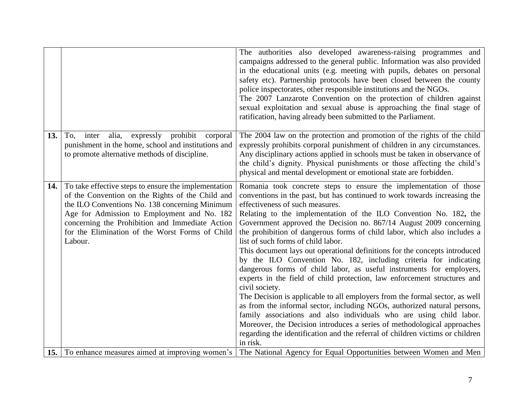|     |                                                                                                                                                                                                                                                                                                                            | The authorities also developed awareness-raising programmes and<br>campaigns addressed to the general public. Information was also provided<br>in the educational units (e.g. meeting with pupils, debates on personal<br>safety etc). Partnership protocols have been closed between the county<br>police inspectorates, other responsible institutions and the NGOs.<br>The 2007 Lanzarote Convention on the protection of children against<br>sexual exploitation and sexual abuse is approaching the final stage of<br>ratification, having already been submitted to the Parliament.                                                                                                                                                                                                                                                                                                                                                                                                                                                                                                                                                                                        |
|-----|----------------------------------------------------------------------------------------------------------------------------------------------------------------------------------------------------------------------------------------------------------------------------------------------------------------------------|----------------------------------------------------------------------------------------------------------------------------------------------------------------------------------------------------------------------------------------------------------------------------------------------------------------------------------------------------------------------------------------------------------------------------------------------------------------------------------------------------------------------------------------------------------------------------------------------------------------------------------------------------------------------------------------------------------------------------------------------------------------------------------------------------------------------------------------------------------------------------------------------------------------------------------------------------------------------------------------------------------------------------------------------------------------------------------------------------------------------------------------------------------------------------------|
| 13. | expressly prohibit corporal<br>To,<br>inter<br>alia,<br>punishment in the home, school and institutions and<br>to promote alternative methods of discipline.                                                                                                                                                               | The 2004 law on the protection and promotion of the rights of the child<br>expressly prohibits corporal punishment of children in any circumstances.<br>Any disciplinary actions applied in schools must be taken in observance of<br>the child's dignity. Physical punishments or those affecting the child's<br>physical and mental development or emotional state are forbidden.                                                                                                                                                                                                                                                                                                                                                                                                                                                                                                                                                                                                                                                                                                                                                                                              |
| 14. | To take effective steps to ensure the implementation<br>of the Convention on the Rights of the Child and<br>the ILO Conventions No. 138 concerning Minimum<br>Age for Admission to Employment and No. 182<br>concerning the Prohibition and Immediate Action<br>for the Elimination of the Worst Forms of Child<br>Labour. | Romania took concrete steps to ensure the implementation of those<br>conventions in the past, but has continued to work towards increasing the<br>effectiveness of such measures.<br>Relating to the implementation of the ILO Convention No. 182, the<br>Government approved the Decision no. 867/14 August 2009 concerning<br>the prohibition of dangerous forms of child labor, which also includes a<br>list of such forms of child labor.<br>This document lays out operational definitions for the concepts introduced<br>by the ILO Convention No. 182, including criteria for indicating<br>dangerous forms of child labor, as useful instruments for employers,<br>experts in the field of child protection, law enforcement structures and<br>civil society.<br>The Decision is applicable to all employers from the formal sector, as well<br>as from the informal sector, including NGOs, authorized natural persons,<br>family associations and also individuals who are using child labor.<br>Moreover, the Decision introduces a series of methodological approaches<br>regarding the identification and the referral of children victims or children<br>in risk. |
|     | <b>15.</b> To enhance measures aimed at improving women's                                                                                                                                                                                                                                                                  | The National Agency for Equal Opportunities between Women and Men                                                                                                                                                                                                                                                                                                                                                                                                                                                                                                                                                                                                                                                                                                                                                                                                                                                                                                                                                                                                                                                                                                                |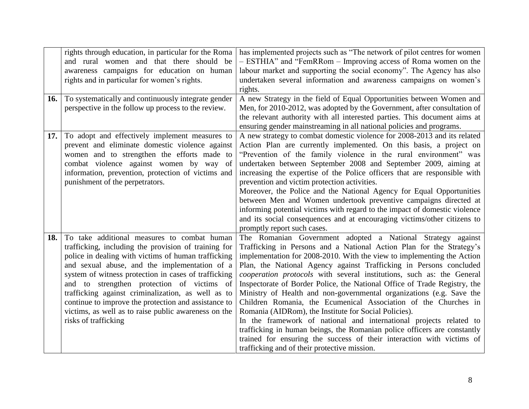|     | rights through education, in particular for the Roma<br>and rural women and that there should be<br>awareness campaigns for education on human<br>rights and in particular for women's rights.                                                                                                                                                                                                                                                                                                                  | has implemented projects such as "The network of pilot centres for women<br>- ESTHIA" and "FemRRom - Improving access of Roma women on the<br>labour market and supporting the social economy". The Agency has also<br>undertaken several information and awareness campaigns on women's                                                                                                                                                                                                                                                                                                                                                                                                                                                                                                                                                                                                                                 |
|-----|-----------------------------------------------------------------------------------------------------------------------------------------------------------------------------------------------------------------------------------------------------------------------------------------------------------------------------------------------------------------------------------------------------------------------------------------------------------------------------------------------------------------|--------------------------------------------------------------------------------------------------------------------------------------------------------------------------------------------------------------------------------------------------------------------------------------------------------------------------------------------------------------------------------------------------------------------------------------------------------------------------------------------------------------------------------------------------------------------------------------------------------------------------------------------------------------------------------------------------------------------------------------------------------------------------------------------------------------------------------------------------------------------------------------------------------------------------|
|     |                                                                                                                                                                                                                                                                                                                                                                                                                                                                                                                 | rights.                                                                                                                                                                                                                                                                                                                                                                                                                                                                                                                                                                                                                                                                                                                                                                                                                                                                                                                  |
| 16. | To systematically and continuously integrate gender<br>perspective in the follow up process to the review.                                                                                                                                                                                                                                                                                                                                                                                                      | A new Strategy in the field of Equal Opportunities between Women and<br>Men, for 2010-2012, was adopted by the Government, after consultation of<br>the relevant authority with all interested parties. This document aims at<br>ensuring gender mainstreaming in all national policies and programs.                                                                                                                                                                                                                                                                                                                                                                                                                                                                                                                                                                                                                    |
| 17. | To adopt and effectively implement measures to<br>prevent and eliminate domestic violence against<br>women and to strengthen the efforts made to<br>combat violence against women by way of<br>information, prevention, protection of victims and<br>punishment of the perpetrators.                                                                                                                                                                                                                            | A new strategy to combat domestic violence for 2008-2013 and its related<br>Action Plan are currently implemented. On this basis, a project on<br>"Prevention of the family violence in the rural environment" was<br>undertaken between September 2008 and September 2009, aiming at<br>increasing the expertise of the Police officers that are responsible with<br>prevention and victim protection activities.<br>Moreover, the Police and the National Agency for Equal Opportunities<br>between Men and Women undertook preventive campaigns directed at<br>informing potential victims with regard to the impact of domestic violence<br>and its social consequences and at encouraging victims/other citizens to<br>promptly report such cases.                                                                                                                                                                  |
| 18. | To take additional measures to combat human<br>trafficking, including the provision of training for<br>police in dealing with victims of human trafficking<br>and sexual abuse, and the implementation of a<br>system of witness protection in cases of trafficking<br>and to strengthen protection of victims of<br>trafficking against criminalization, as well as to<br>continue to improve the protection and assistance to<br>victims, as well as to raise public awareness on the<br>risks of trafficking | The Romanian Government adopted a National Strategy against<br>Trafficking in Persons and a National Action Plan for the Strategy's<br>implementation for 2008-2010. With the view to implementing the Action<br>Plan, the National Agency against Trafficking in Persons concluded<br>cooperation protocols with several institutions, such as: the General<br>Inspectorate of Border Police, the National Office of Trade Registry, the<br>Ministry of Health and non-governmental organizations (e.g. Save the<br>Children Romania, the Ecumenical Association of the Churches in<br>Romania (AIDRom), the Institute for Social Policies).<br>In the framework of national and international projects related to<br>trafficking in human beings, the Romanian police officers are constantly<br>trained for ensuring the success of their interaction with victims of<br>trafficking and of their protective mission. |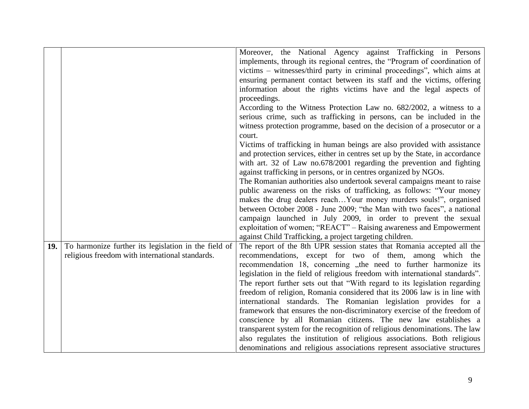|     |                                                      | Moreover, the National Agency against Trafficking in Persons                  |
|-----|------------------------------------------------------|-------------------------------------------------------------------------------|
|     |                                                      | implements, through its regional centres, the "Program of coordination of     |
|     |                                                      | victims – witnesses/third party in criminal proceedings", which aims at       |
|     |                                                      | ensuring permanent contact between its staff and the victims, offering        |
|     |                                                      | information about the rights victims have and the legal aspects of            |
|     |                                                      | proceedings.                                                                  |
|     |                                                      | According to the Witness Protection Law no. 682/2002, a witness to a          |
|     |                                                      | serious crime, such as trafficking in persons, can be included in the         |
|     |                                                      | witness protection programme, based on the decision of a prosecutor or a      |
|     |                                                      | court.                                                                        |
|     |                                                      | Victims of trafficking in human beings are also provided with assistance      |
|     |                                                      | and protection services, either in centres set up by the State, in accordance |
|     |                                                      | with art. 32 of Law no.678/2001 regarding the prevention and fighting         |
|     |                                                      | against trafficking in persons, or in centres organized by NGOs.              |
|     |                                                      | The Romanian authorities also undertook several campaigns meant to raise      |
|     |                                                      | public awareness on the risks of trafficking, as follows: "Your money         |
|     |                                                      | makes the drug dealers reachYour money murders souls!", organised             |
|     |                                                      | between October 2008 - June 2009; "the Man with two faces", a national        |
|     |                                                      | campaign launched in July 2009, in order to prevent the sexual                |
|     |                                                      | exploitation of women; "REACT" – Raising awareness and Empowerment            |
|     |                                                      | against Child Trafficking, a project targeting children.                      |
| 19. | To harmonize further its legislation in the field of | The report of the 8th UPR session states that Romania accepted all the        |
|     | religious freedom with international standards.      | recommendations, except for two of them, among which the                      |
|     |                                                      | recommendation 18, concerning "the need to further harmonize its              |
|     |                                                      | legislation in the field of religious freedom with international standards".  |
|     |                                                      | The report further sets out that "With regard to its legislation regarding    |
|     |                                                      | freedom of religion, Romania considered that its 2006 law is in line with     |
|     |                                                      | international standards. The Romanian legislation provides for a              |
|     |                                                      | framework that ensures the non-discriminatory exercise of the freedom of      |
|     |                                                      | conscience by all Romanian citizens. The new law establishes a                |
|     |                                                      | transparent system for the recognition of religious denominations. The law    |
|     |                                                      | also regulates the institution of religious associations. Both religious      |
|     |                                                      | denominations and religious associations represent associative structures     |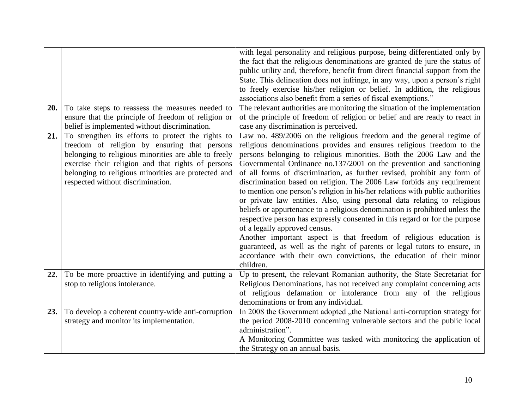|     |                                                                                                                                                                                                                                                                                                              | with legal personality and religious purpose, being differentiated only by<br>the fact that the religious denominations are granted de jure the status of<br>public utility and, therefore, benefit from direct financial support from the<br>State. This delineation does not infringe, in any way, upon a person's right<br>to freely exercise his/her religion or belief. In addition, the religious<br>associations also benefit from a series of fiscal exemptions."                                                                                                                                                                                                                                                                                                                                                                                                                                                                                                                                                                              |
|-----|--------------------------------------------------------------------------------------------------------------------------------------------------------------------------------------------------------------------------------------------------------------------------------------------------------------|--------------------------------------------------------------------------------------------------------------------------------------------------------------------------------------------------------------------------------------------------------------------------------------------------------------------------------------------------------------------------------------------------------------------------------------------------------------------------------------------------------------------------------------------------------------------------------------------------------------------------------------------------------------------------------------------------------------------------------------------------------------------------------------------------------------------------------------------------------------------------------------------------------------------------------------------------------------------------------------------------------------------------------------------------------|
| 20. | To take steps to reassess the measures needed to                                                                                                                                                                                                                                                             | The relevant authorities are monitoring the situation of the implementation                                                                                                                                                                                                                                                                                                                                                                                                                                                                                                                                                                                                                                                                                                                                                                                                                                                                                                                                                                            |
|     | ensure that the principle of freedom of religion or                                                                                                                                                                                                                                                          | of the principle of freedom of religion or belief and are ready to react in                                                                                                                                                                                                                                                                                                                                                                                                                                                                                                                                                                                                                                                                                                                                                                                                                                                                                                                                                                            |
|     | belief is implemented without discrimination.                                                                                                                                                                                                                                                                | case any discrimination is perceived.                                                                                                                                                                                                                                                                                                                                                                                                                                                                                                                                                                                                                                                                                                                                                                                                                                                                                                                                                                                                                  |
| 21. | To strengthen its efforts to protect the rights to<br>freedom of religion by ensuring that persons<br>belonging to religious minorities are able to freely<br>exercise their religion and that rights of persons<br>belonging to religious minorities are protected and<br>respected without discrimination. | Law no. 489/2006 on the religious freedom and the general regime of<br>religious denominations provides and ensures religious freedom to the<br>persons belonging to religious minorities. Both the 2006 Law and the<br>Governmental Ordinance no.137/2001 on the prevention and sanctioning<br>of all forms of discrimination, as further revised, prohibit any form of<br>discrimination based on religion. The 2006 Law forbids any requirement<br>to mention one person's religion in his/her relations with public authorities<br>or private law entities. Also, using personal data relating to religious<br>beliefs or appurtenance to a religious denomination is prohibited unless the<br>respective person has expressly consented in this regard or for the purpose<br>of a legally approved census.<br>Another important aspect is that freedom of religious education is<br>guaranteed, as well as the right of parents or legal tutors to ensure, in<br>accordance with their own convictions, the education of their minor<br>children. |
| 22. | To be more proactive in identifying and putting a                                                                                                                                                                                                                                                            | Up to present, the relevant Romanian authority, the State Secretariat for                                                                                                                                                                                                                                                                                                                                                                                                                                                                                                                                                                                                                                                                                                                                                                                                                                                                                                                                                                              |
|     | stop to religious intolerance.                                                                                                                                                                                                                                                                               | Religious Denominations, has not received any complaint concerning acts<br>of religious defamation or intolerance from any of the religious                                                                                                                                                                                                                                                                                                                                                                                                                                                                                                                                                                                                                                                                                                                                                                                                                                                                                                            |
|     |                                                                                                                                                                                                                                                                                                              | denominations or from any individual.                                                                                                                                                                                                                                                                                                                                                                                                                                                                                                                                                                                                                                                                                                                                                                                                                                                                                                                                                                                                                  |
| 23. | To develop a coherent country-wide anti-corruption                                                                                                                                                                                                                                                           | In 2008 the Government adopted "the National anti-corruption strategy for                                                                                                                                                                                                                                                                                                                                                                                                                                                                                                                                                                                                                                                                                                                                                                                                                                                                                                                                                                              |
|     | strategy and monitor its implementation.                                                                                                                                                                                                                                                                     | the period 2008-2010 concerning vulnerable sectors and the public local                                                                                                                                                                                                                                                                                                                                                                                                                                                                                                                                                                                                                                                                                                                                                                                                                                                                                                                                                                                |
|     |                                                                                                                                                                                                                                                                                                              | administration".                                                                                                                                                                                                                                                                                                                                                                                                                                                                                                                                                                                                                                                                                                                                                                                                                                                                                                                                                                                                                                       |
|     |                                                                                                                                                                                                                                                                                                              | A Monitoring Committee was tasked with monitoring the application of<br>the Strategy on an annual basis.                                                                                                                                                                                                                                                                                                                                                                                                                                                                                                                                                                                                                                                                                                                                                                                                                                                                                                                                               |
|     |                                                                                                                                                                                                                                                                                                              |                                                                                                                                                                                                                                                                                                                                                                                                                                                                                                                                                                                                                                                                                                                                                                                                                                                                                                                                                                                                                                                        |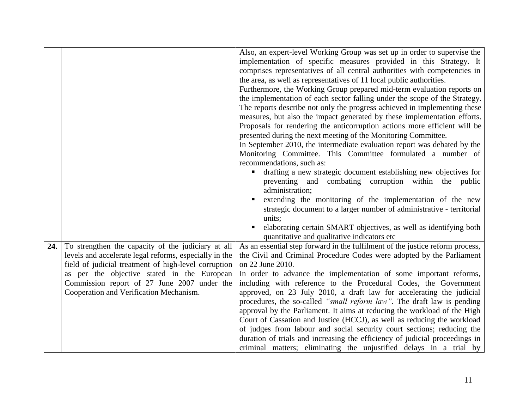|     |                                                        | Also, an expert-level Working Group was set up in order to supervise the<br>implementation of specific measures provided in this Strategy. It<br>comprises representatives of all central authorities with competencies in<br>the area, as well as representatives of 11 local public authorities. |
|-----|--------------------------------------------------------|----------------------------------------------------------------------------------------------------------------------------------------------------------------------------------------------------------------------------------------------------------------------------------------------------|
|     |                                                        | Furthermore, the Working Group prepared mid-term evaluation reports on                                                                                                                                                                                                                             |
|     |                                                        | the implementation of each sector falling under the scope of the Strategy.                                                                                                                                                                                                                         |
|     |                                                        | The reports describe not only the progress achieved in implementing these                                                                                                                                                                                                                          |
|     |                                                        | measures, but also the impact generated by these implementation efforts.<br>Proposals for rendering the anticorruption actions more efficient will be                                                                                                                                              |
|     |                                                        | presented during the next meeting of the Monitoring Committee.                                                                                                                                                                                                                                     |
|     |                                                        | In September 2010, the intermediate evaluation report was debated by the                                                                                                                                                                                                                           |
|     |                                                        | Monitoring Committee. This Committee formulated a number of                                                                                                                                                                                                                                        |
|     |                                                        | recommendations, such as:                                                                                                                                                                                                                                                                          |
|     |                                                        | drafting a new strategic document establishing new objectives for<br>$\blacksquare$                                                                                                                                                                                                                |
|     |                                                        | preventing and combating corruption within the public<br>administration;                                                                                                                                                                                                                           |
|     |                                                        | extending the monitoring of the implementation of the new                                                                                                                                                                                                                                          |
|     |                                                        | strategic document to a larger number of administrative - territorial                                                                                                                                                                                                                              |
|     |                                                        | units;                                                                                                                                                                                                                                                                                             |
|     |                                                        | elaborating certain SMART objectives, as well as identifying both                                                                                                                                                                                                                                  |
| 24. | To strengthen the capacity of the judiciary at all     | quantitative and qualitative indicators etc<br>As an essential step forward in the fulfilment of the justice reform process,                                                                                                                                                                       |
|     | levels and accelerate legal reforms, especially in the | the Civil and Criminal Procedure Codes were adopted by the Parliament                                                                                                                                                                                                                              |
|     | field of judicial treatment of high-level corruption   | on 22 June 2010.                                                                                                                                                                                                                                                                                   |
|     | as per the objective stated in the European            | In order to advance the implementation of some important reforms,                                                                                                                                                                                                                                  |
|     | Commission report of 27 June 2007 under the            | including with reference to the Procedural Codes, the Government                                                                                                                                                                                                                                   |
|     | Cooperation and Verification Mechanism.                | approved, on 23 July 2010, a draft law for accelerating the judicial                                                                                                                                                                                                                               |
|     |                                                        | procedures, the so-called "small reform law". The draft law is pending                                                                                                                                                                                                                             |
|     |                                                        | approval by the Parliament. It aims at reducing the workload of the High                                                                                                                                                                                                                           |
|     |                                                        | Court of Cassation and Justice (HCCJ), as well as reducing the workload                                                                                                                                                                                                                            |
|     |                                                        | of judges from labour and social security court sections; reducing the<br>duration of trials and increasing the efficiency of judicial proceedings in                                                                                                                                              |
|     |                                                        | criminal matters; eliminating the unjustified delays in a trial by                                                                                                                                                                                                                                 |
|     |                                                        |                                                                                                                                                                                                                                                                                                    |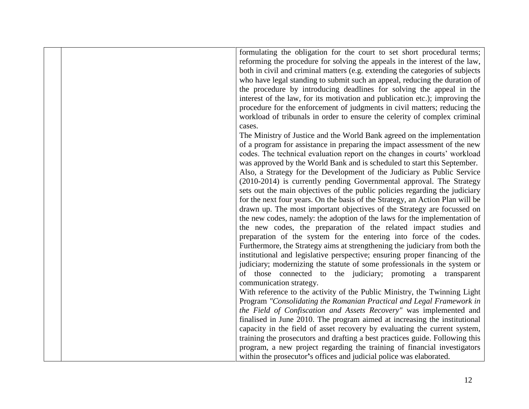| formulating the obligation for the court to set short procedural terms;<br>reforming the procedure for solving the appeals in the interest of the law,<br>both in civil and criminal matters (e.g. extending the categories of subjects<br>who have legal standing to submit such an appeal, reducing the duration of<br>the procedure by introducing deadlines for solving the appeal in the<br>interest of the law, for its motivation and publication etc.); improving the<br>procedure for the enforcement of judgments in civil matters; reducing the<br>workload of tribunals in order to ensure the celerity of complex criminal<br>cases.<br>The Ministry of Justice and the World Bank agreed on the implementation<br>of a program for assistance in preparing the impact assessment of the new<br>codes. The technical evaluation report on the changes in courts' workload<br>was approved by the World Bank and is scheduled to start this September.<br>Also, a Strategy for the Development of the Judiciary as Public Service<br>(2010-2014) is currently pending Governmental approval. The Strategy<br>sets out the main objectives of the public policies regarding the judiciary<br>for the next four years. On the basis of the Strategy, an Action Plan will be<br>drawn up. The most important objectives of the Strategy are focussed on<br>the new codes, namely: the adoption of the laws for the implementation of<br>the new codes, the preparation of the related impact studies and<br>preparation of the system for the entering into force of the codes.<br>Furthermore, the Strategy aims at strengthening the judiciary from both the<br>institutional and legislative perspective; ensuring proper financing of the<br>judiciary; modernizing the statute of some professionals in the system or<br>of those connected to the judiciary; promoting a transparent<br>communication strategy.<br>With reference to the activity of the Public Ministry, the Twinning Light<br>Program "Consolidating the Romanian Practical and Legal Framework in<br>the Field of Confiscation and Assets Recovery" was implemented and<br>finalised in June 2010. The program aimed at increasing the institutional<br>capacity in the field of asset recovery by evaluating the current system,<br>training the prosecutors and drafting a best practices guide. Following this<br>program, a new project regarding the training of financial investigators<br>within the prosecutor's offices and judicial police was elaborated. |  |  |
|--------------------------------------------------------------------------------------------------------------------------------------------------------------------------------------------------------------------------------------------------------------------------------------------------------------------------------------------------------------------------------------------------------------------------------------------------------------------------------------------------------------------------------------------------------------------------------------------------------------------------------------------------------------------------------------------------------------------------------------------------------------------------------------------------------------------------------------------------------------------------------------------------------------------------------------------------------------------------------------------------------------------------------------------------------------------------------------------------------------------------------------------------------------------------------------------------------------------------------------------------------------------------------------------------------------------------------------------------------------------------------------------------------------------------------------------------------------------------------------------------------------------------------------------------------------------------------------------------------------------------------------------------------------------------------------------------------------------------------------------------------------------------------------------------------------------------------------------------------------------------------------------------------------------------------------------------------------------------------------------------------------------------------------------------------------------------------------------------------------------------------------------------------------------------------------------------------------------------------------------------------------------------------------------------------------------------------------------------------------------------------------------------------------------------------------------------------------------------------------------------------------------------------------------------------|--|--|
|                                                                                                                                                                                                                                                                                                                                                                                                                                                                                                                                                                                                                                                                                                                                                                                                                                                                                                                                                                                                                                                                                                                                                                                                                                                                                                                                                                                                                                                                                                                                                                                                                                                                                                                                                                                                                                                                                                                                                                                                                                                                                                                                                                                                                                                                                                                                                                                                                                                                                                                                                        |  |  |
|                                                                                                                                                                                                                                                                                                                                                                                                                                                                                                                                                                                                                                                                                                                                                                                                                                                                                                                                                                                                                                                                                                                                                                                                                                                                                                                                                                                                                                                                                                                                                                                                                                                                                                                                                                                                                                                                                                                                                                                                                                                                                                                                                                                                                                                                                                                                                                                                                                                                                                                                                        |  |  |
|                                                                                                                                                                                                                                                                                                                                                                                                                                                                                                                                                                                                                                                                                                                                                                                                                                                                                                                                                                                                                                                                                                                                                                                                                                                                                                                                                                                                                                                                                                                                                                                                                                                                                                                                                                                                                                                                                                                                                                                                                                                                                                                                                                                                                                                                                                                                                                                                                                                                                                                                                        |  |  |
|                                                                                                                                                                                                                                                                                                                                                                                                                                                                                                                                                                                                                                                                                                                                                                                                                                                                                                                                                                                                                                                                                                                                                                                                                                                                                                                                                                                                                                                                                                                                                                                                                                                                                                                                                                                                                                                                                                                                                                                                                                                                                                                                                                                                                                                                                                                                                                                                                                                                                                                                                        |  |  |
|                                                                                                                                                                                                                                                                                                                                                                                                                                                                                                                                                                                                                                                                                                                                                                                                                                                                                                                                                                                                                                                                                                                                                                                                                                                                                                                                                                                                                                                                                                                                                                                                                                                                                                                                                                                                                                                                                                                                                                                                                                                                                                                                                                                                                                                                                                                                                                                                                                                                                                                                                        |  |  |
|                                                                                                                                                                                                                                                                                                                                                                                                                                                                                                                                                                                                                                                                                                                                                                                                                                                                                                                                                                                                                                                                                                                                                                                                                                                                                                                                                                                                                                                                                                                                                                                                                                                                                                                                                                                                                                                                                                                                                                                                                                                                                                                                                                                                                                                                                                                                                                                                                                                                                                                                                        |  |  |
|                                                                                                                                                                                                                                                                                                                                                                                                                                                                                                                                                                                                                                                                                                                                                                                                                                                                                                                                                                                                                                                                                                                                                                                                                                                                                                                                                                                                                                                                                                                                                                                                                                                                                                                                                                                                                                                                                                                                                                                                                                                                                                                                                                                                                                                                                                                                                                                                                                                                                                                                                        |  |  |
|                                                                                                                                                                                                                                                                                                                                                                                                                                                                                                                                                                                                                                                                                                                                                                                                                                                                                                                                                                                                                                                                                                                                                                                                                                                                                                                                                                                                                                                                                                                                                                                                                                                                                                                                                                                                                                                                                                                                                                                                                                                                                                                                                                                                                                                                                                                                                                                                                                                                                                                                                        |  |  |
|                                                                                                                                                                                                                                                                                                                                                                                                                                                                                                                                                                                                                                                                                                                                                                                                                                                                                                                                                                                                                                                                                                                                                                                                                                                                                                                                                                                                                                                                                                                                                                                                                                                                                                                                                                                                                                                                                                                                                                                                                                                                                                                                                                                                                                                                                                                                                                                                                                                                                                                                                        |  |  |
|                                                                                                                                                                                                                                                                                                                                                                                                                                                                                                                                                                                                                                                                                                                                                                                                                                                                                                                                                                                                                                                                                                                                                                                                                                                                                                                                                                                                                                                                                                                                                                                                                                                                                                                                                                                                                                                                                                                                                                                                                                                                                                                                                                                                                                                                                                                                                                                                                                                                                                                                                        |  |  |
|                                                                                                                                                                                                                                                                                                                                                                                                                                                                                                                                                                                                                                                                                                                                                                                                                                                                                                                                                                                                                                                                                                                                                                                                                                                                                                                                                                                                                                                                                                                                                                                                                                                                                                                                                                                                                                                                                                                                                                                                                                                                                                                                                                                                                                                                                                                                                                                                                                                                                                                                                        |  |  |
|                                                                                                                                                                                                                                                                                                                                                                                                                                                                                                                                                                                                                                                                                                                                                                                                                                                                                                                                                                                                                                                                                                                                                                                                                                                                                                                                                                                                                                                                                                                                                                                                                                                                                                                                                                                                                                                                                                                                                                                                                                                                                                                                                                                                                                                                                                                                                                                                                                                                                                                                                        |  |  |
|                                                                                                                                                                                                                                                                                                                                                                                                                                                                                                                                                                                                                                                                                                                                                                                                                                                                                                                                                                                                                                                                                                                                                                                                                                                                                                                                                                                                                                                                                                                                                                                                                                                                                                                                                                                                                                                                                                                                                                                                                                                                                                                                                                                                                                                                                                                                                                                                                                                                                                                                                        |  |  |
|                                                                                                                                                                                                                                                                                                                                                                                                                                                                                                                                                                                                                                                                                                                                                                                                                                                                                                                                                                                                                                                                                                                                                                                                                                                                                                                                                                                                                                                                                                                                                                                                                                                                                                                                                                                                                                                                                                                                                                                                                                                                                                                                                                                                                                                                                                                                                                                                                                                                                                                                                        |  |  |
|                                                                                                                                                                                                                                                                                                                                                                                                                                                                                                                                                                                                                                                                                                                                                                                                                                                                                                                                                                                                                                                                                                                                                                                                                                                                                                                                                                                                                                                                                                                                                                                                                                                                                                                                                                                                                                                                                                                                                                                                                                                                                                                                                                                                                                                                                                                                                                                                                                                                                                                                                        |  |  |
|                                                                                                                                                                                                                                                                                                                                                                                                                                                                                                                                                                                                                                                                                                                                                                                                                                                                                                                                                                                                                                                                                                                                                                                                                                                                                                                                                                                                                                                                                                                                                                                                                                                                                                                                                                                                                                                                                                                                                                                                                                                                                                                                                                                                                                                                                                                                                                                                                                                                                                                                                        |  |  |
|                                                                                                                                                                                                                                                                                                                                                                                                                                                                                                                                                                                                                                                                                                                                                                                                                                                                                                                                                                                                                                                                                                                                                                                                                                                                                                                                                                                                                                                                                                                                                                                                                                                                                                                                                                                                                                                                                                                                                                                                                                                                                                                                                                                                                                                                                                                                                                                                                                                                                                                                                        |  |  |
|                                                                                                                                                                                                                                                                                                                                                                                                                                                                                                                                                                                                                                                                                                                                                                                                                                                                                                                                                                                                                                                                                                                                                                                                                                                                                                                                                                                                                                                                                                                                                                                                                                                                                                                                                                                                                                                                                                                                                                                                                                                                                                                                                                                                                                                                                                                                                                                                                                                                                                                                                        |  |  |
|                                                                                                                                                                                                                                                                                                                                                                                                                                                                                                                                                                                                                                                                                                                                                                                                                                                                                                                                                                                                                                                                                                                                                                                                                                                                                                                                                                                                                                                                                                                                                                                                                                                                                                                                                                                                                                                                                                                                                                                                                                                                                                                                                                                                                                                                                                                                                                                                                                                                                                                                                        |  |  |
|                                                                                                                                                                                                                                                                                                                                                                                                                                                                                                                                                                                                                                                                                                                                                                                                                                                                                                                                                                                                                                                                                                                                                                                                                                                                                                                                                                                                                                                                                                                                                                                                                                                                                                                                                                                                                                                                                                                                                                                                                                                                                                                                                                                                                                                                                                                                                                                                                                                                                                                                                        |  |  |
|                                                                                                                                                                                                                                                                                                                                                                                                                                                                                                                                                                                                                                                                                                                                                                                                                                                                                                                                                                                                                                                                                                                                                                                                                                                                                                                                                                                                                                                                                                                                                                                                                                                                                                                                                                                                                                                                                                                                                                                                                                                                                                                                                                                                                                                                                                                                                                                                                                                                                                                                                        |  |  |
|                                                                                                                                                                                                                                                                                                                                                                                                                                                                                                                                                                                                                                                                                                                                                                                                                                                                                                                                                                                                                                                                                                                                                                                                                                                                                                                                                                                                                                                                                                                                                                                                                                                                                                                                                                                                                                                                                                                                                                                                                                                                                                                                                                                                                                                                                                                                                                                                                                                                                                                                                        |  |  |
|                                                                                                                                                                                                                                                                                                                                                                                                                                                                                                                                                                                                                                                                                                                                                                                                                                                                                                                                                                                                                                                                                                                                                                                                                                                                                                                                                                                                                                                                                                                                                                                                                                                                                                                                                                                                                                                                                                                                                                                                                                                                                                                                                                                                                                                                                                                                                                                                                                                                                                                                                        |  |  |
|                                                                                                                                                                                                                                                                                                                                                                                                                                                                                                                                                                                                                                                                                                                                                                                                                                                                                                                                                                                                                                                                                                                                                                                                                                                                                                                                                                                                                                                                                                                                                                                                                                                                                                                                                                                                                                                                                                                                                                                                                                                                                                                                                                                                                                                                                                                                                                                                                                                                                                                                                        |  |  |
|                                                                                                                                                                                                                                                                                                                                                                                                                                                                                                                                                                                                                                                                                                                                                                                                                                                                                                                                                                                                                                                                                                                                                                                                                                                                                                                                                                                                                                                                                                                                                                                                                                                                                                                                                                                                                                                                                                                                                                                                                                                                                                                                                                                                                                                                                                                                                                                                                                                                                                                                                        |  |  |
|                                                                                                                                                                                                                                                                                                                                                                                                                                                                                                                                                                                                                                                                                                                                                                                                                                                                                                                                                                                                                                                                                                                                                                                                                                                                                                                                                                                                                                                                                                                                                                                                                                                                                                                                                                                                                                                                                                                                                                                                                                                                                                                                                                                                                                                                                                                                                                                                                                                                                                                                                        |  |  |
|                                                                                                                                                                                                                                                                                                                                                                                                                                                                                                                                                                                                                                                                                                                                                                                                                                                                                                                                                                                                                                                                                                                                                                                                                                                                                                                                                                                                                                                                                                                                                                                                                                                                                                                                                                                                                                                                                                                                                                                                                                                                                                                                                                                                                                                                                                                                                                                                                                                                                                                                                        |  |  |
|                                                                                                                                                                                                                                                                                                                                                                                                                                                                                                                                                                                                                                                                                                                                                                                                                                                                                                                                                                                                                                                                                                                                                                                                                                                                                                                                                                                                                                                                                                                                                                                                                                                                                                                                                                                                                                                                                                                                                                                                                                                                                                                                                                                                                                                                                                                                                                                                                                                                                                                                                        |  |  |
|                                                                                                                                                                                                                                                                                                                                                                                                                                                                                                                                                                                                                                                                                                                                                                                                                                                                                                                                                                                                                                                                                                                                                                                                                                                                                                                                                                                                                                                                                                                                                                                                                                                                                                                                                                                                                                                                                                                                                                                                                                                                                                                                                                                                                                                                                                                                                                                                                                                                                                                                                        |  |  |
|                                                                                                                                                                                                                                                                                                                                                                                                                                                                                                                                                                                                                                                                                                                                                                                                                                                                                                                                                                                                                                                                                                                                                                                                                                                                                                                                                                                                                                                                                                                                                                                                                                                                                                                                                                                                                                                                                                                                                                                                                                                                                                                                                                                                                                                                                                                                                                                                                                                                                                                                                        |  |  |
|                                                                                                                                                                                                                                                                                                                                                                                                                                                                                                                                                                                                                                                                                                                                                                                                                                                                                                                                                                                                                                                                                                                                                                                                                                                                                                                                                                                                                                                                                                                                                                                                                                                                                                                                                                                                                                                                                                                                                                                                                                                                                                                                                                                                                                                                                                                                                                                                                                                                                                                                                        |  |  |
|                                                                                                                                                                                                                                                                                                                                                                                                                                                                                                                                                                                                                                                                                                                                                                                                                                                                                                                                                                                                                                                                                                                                                                                                                                                                                                                                                                                                                                                                                                                                                                                                                                                                                                                                                                                                                                                                                                                                                                                                                                                                                                                                                                                                                                                                                                                                                                                                                                                                                                                                                        |  |  |
|                                                                                                                                                                                                                                                                                                                                                                                                                                                                                                                                                                                                                                                                                                                                                                                                                                                                                                                                                                                                                                                                                                                                                                                                                                                                                                                                                                                                                                                                                                                                                                                                                                                                                                                                                                                                                                                                                                                                                                                                                                                                                                                                                                                                                                                                                                                                                                                                                                                                                                                                                        |  |  |
|                                                                                                                                                                                                                                                                                                                                                                                                                                                                                                                                                                                                                                                                                                                                                                                                                                                                                                                                                                                                                                                                                                                                                                                                                                                                                                                                                                                                                                                                                                                                                                                                                                                                                                                                                                                                                                                                                                                                                                                                                                                                                                                                                                                                                                                                                                                                                                                                                                                                                                                                                        |  |  |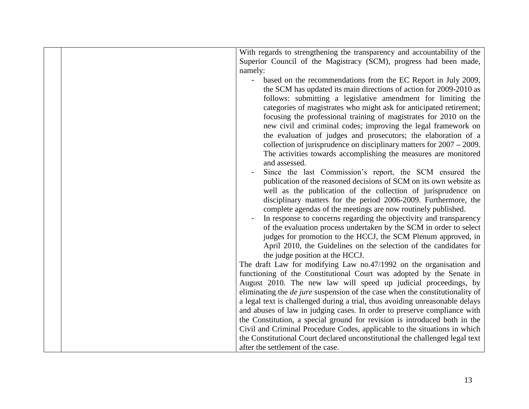|  | With regards to strengthening the transparency and accountability of the                                                                                            |
|--|---------------------------------------------------------------------------------------------------------------------------------------------------------------------|
|  | Superior Council of the Magistracy (SCM), progress had been made,                                                                                                   |
|  | namely:                                                                                                                                                             |
|  | based on the recommendations from the EC Report in July 2009,                                                                                                       |
|  | the SCM has updated its main directions of action for 2009-2010 as                                                                                                  |
|  | follows: submitting a legislative amendment for limiting the                                                                                                        |
|  | categories of magistrates who might ask for anticipated retirement;                                                                                                 |
|  | focusing the professional training of magistrates for 2010 on the                                                                                                   |
|  | new civil and criminal codes; improving the legal framework on                                                                                                      |
|  | the evaluation of judges and prosecutors; the elaboration of a                                                                                                      |
|  | collection of jurisprudence on disciplinary matters for $2007 - 2009$ .                                                                                             |
|  | The activities towards accomplishing the measures are monitored                                                                                                     |
|  | and assessed.                                                                                                                                                       |
|  | Since the last Commission's report, the SCM ensured the                                                                                                             |
|  | publication of the reasoned decisions of SCM on its own website as                                                                                                  |
|  | well as the publication of the collection of jurisprudence on                                                                                                       |
|  | disciplinary matters for the period 2006-2009. Furthermore, the                                                                                                     |
|  | complete agendas of the meetings are now routinely published.                                                                                                       |
|  | In response to concerns regarding the objectivity and transparency                                                                                                  |
|  | of the evaluation process undertaken by the SCM in order to select                                                                                                  |
|  | judges for promotion to the HCCJ, the SCM Plenum approved, in                                                                                                       |
|  | April 2010, the Guidelines on the selection of the candidates for                                                                                                   |
|  | the judge position at the HCCJ.                                                                                                                                     |
|  | The draft Law for modifying Law no.47/1992 on the organisation and                                                                                                  |
|  | functioning of the Constitutional Court was adopted by the Senate in                                                                                                |
|  | August 2010. The new law will speed up judicial proceedings, by                                                                                                     |
|  | eliminating the <i>de jure</i> suspension of the case when the constitutionality of<br>a legal text is challenged during a trial, thus avoiding unreasonable delays |
|  | and abuses of law in judging cases. In order to preserve compliance with                                                                                            |
|  | the Constitution, a special ground for revision is introduced both in the                                                                                           |
|  | Civil and Criminal Procedure Codes, applicable to the situations in which                                                                                           |
|  | the Constitutional Court declared unconstitutional the challenged legal text                                                                                        |
|  | after the settlement of the case.                                                                                                                                   |
|  |                                                                                                                                                                     |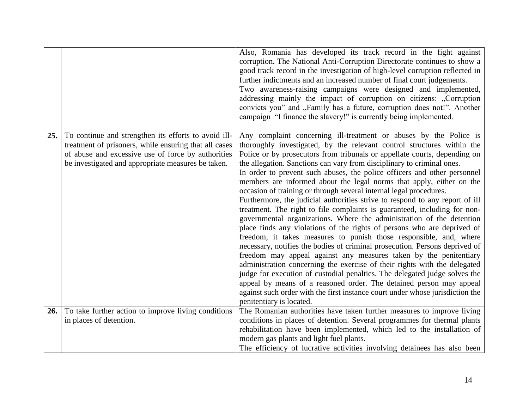|     |                                                                                                                                                                                                                           | Also, Romania has developed its track record in the fight against<br>corruption. The National Anti-Corruption Directorate continues to show a<br>good track record in the investigation of high-level corruption reflected in<br>further indictments and an increased number of final court judgements.<br>Two awareness-raising campaigns were designed and implemented,<br>addressing mainly the impact of corruption on citizens: "Corruption<br>convicts you" and "Family has a future, corruption does not!". Another                                                                                                                                                                                                                                                                                                                                                                                                                                                                                                                                                                                                                                                                                                                                                                                                                                                                                             |
|-----|---------------------------------------------------------------------------------------------------------------------------------------------------------------------------------------------------------------------------|------------------------------------------------------------------------------------------------------------------------------------------------------------------------------------------------------------------------------------------------------------------------------------------------------------------------------------------------------------------------------------------------------------------------------------------------------------------------------------------------------------------------------------------------------------------------------------------------------------------------------------------------------------------------------------------------------------------------------------------------------------------------------------------------------------------------------------------------------------------------------------------------------------------------------------------------------------------------------------------------------------------------------------------------------------------------------------------------------------------------------------------------------------------------------------------------------------------------------------------------------------------------------------------------------------------------------------------------------------------------------------------------------------------------|
|     |                                                                                                                                                                                                                           | campaign "I finance the slavery!" is currently being implemented.                                                                                                                                                                                                                                                                                                                                                                                                                                                                                                                                                                                                                                                                                                                                                                                                                                                                                                                                                                                                                                                                                                                                                                                                                                                                                                                                                      |
| 25. | To continue and strengthen its efforts to avoid ill-<br>treatment of prisoners, while ensuring that all cases<br>of abuse and excessive use of force by authorities<br>be investigated and appropriate measures be taken. | Any complaint concerning ill-treatment or abuses by the Police is<br>thoroughly investigated, by the relevant control structures within the<br>Police or by prosecutors from tribunals or appellate courts, depending on<br>the allegation. Sanctions can vary from disciplinary to criminal ones.<br>In order to prevent such abuses, the police officers and other personnel<br>members are informed about the legal norms that apply, either on the<br>occasion of training or through several internal legal procedures.<br>Furthermore, the judicial authorities strive to respond to any report of ill<br>treatment. The right to file complaints is guaranteed, including for non-<br>governmental organizations. Where the administration of the detention<br>place finds any violations of the rights of persons who are deprived of<br>freedom, it takes measures to punish those responsible, and, where<br>necessary, notifies the bodies of criminal prosecution. Persons deprived of<br>freedom may appeal against any measures taken by the penitentiary<br>administration concerning the exercise of their rights with the delegated<br>judge for execution of custodial penalties. The delegated judge solves the<br>appeal by means of a reasoned order. The detained person may appeal<br>against such order with the first instance court under whose jurisdiction the<br>penitentiary is located. |
| 26. | To take further action to improve living conditions<br>in places of detention.                                                                                                                                            | The Romanian authorities have taken further measures to improve living<br>conditions in places of detention. Several programmes for thermal plants                                                                                                                                                                                                                                                                                                                                                                                                                                                                                                                                                                                                                                                                                                                                                                                                                                                                                                                                                                                                                                                                                                                                                                                                                                                                     |
|     |                                                                                                                                                                                                                           | rehabilitation have been implemented, which led to the installation of<br>modern gas plants and light fuel plants.                                                                                                                                                                                                                                                                                                                                                                                                                                                                                                                                                                                                                                                                                                                                                                                                                                                                                                                                                                                                                                                                                                                                                                                                                                                                                                     |
|     |                                                                                                                                                                                                                           | The efficiency of lucrative activities involving detainees has also been                                                                                                                                                                                                                                                                                                                                                                                                                                                                                                                                                                                                                                                                                                                                                                                                                                                                                                                                                                                                                                                                                                                                                                                                                                                                                                                                               |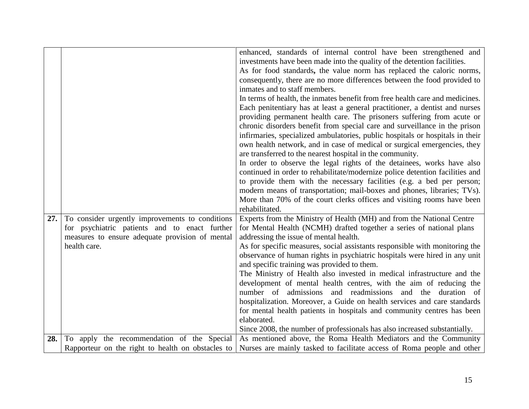|     |                                                 | enhanced, standards of internal control have been strengthened and                                                                           |
|-----|-------------------------------------------------|----------------------------------------------------------------------------------------------------------------------------------------------|
|     |                                                 | investments have been made into the quality of the detention facilities.                                                                     |
|     |                                                 | As for food standards, the value norm has replaced the caloric norms,                                                                        |
|     |                                                 | consequently, there are no more differences between the food provided to                                                                     |
|     |                                                 | inmates and to staff members.                                                                                                                |
|     |                                                 | In terms of health, the inmates benefit from free health care and medicines.                                                                 |
|     |                                                 | Each penitentiary has at least a general practitioner, a dentist and nurses                                                                  |
|     |                                                 | providing permanent health care. The prisoners suffering from acute or                                                                       |
|     |                                                 | chronic disorders benefit from special care and surveillance in the prison                                                                   |
|     |                                                 | infirmaries, specialized ambulatories, public hospitals or hospitals in their                                                                |
|     |                                                 | own health network, and in case of medical or surgical emergencies, they                                                                     |
|     |                                                 | are transferred to the nearest hospital in the community.                                                                                    |
|     |                                                 | In order to observe the legal rights of the detainees, works have also                                                                       |
|     |                                                 | continued in order to rehabilitate/modernize police detention facilities and                                                                 |
|     |                                                 | to provide them with the necessary facilities (e.g. a bed per person;                                                                        |
|     |                                                 | modern means of transportation; mail-boxes and phones, libraries; TVs).                                                                      |
|     |                                                 | More than 70% of the court clerks offices and visiting rooms have been                                                                       |
|     |                                                 | rehabilitated.                                                                                                                               |
| 27. | To consider urgently improvements to conditions | Experts from the Ministry of Health (MH) and from the National Centre                                                                        |
|     | for psychiatric patients and to enact further   | for Mental Health (NCMH) drafted together a series of national plans                                                                         |
|     | measures to ensure adequate provision of mental | addressing the issue of mental health.                                                                                                       |
|     | health care.                                    | As for specific measures, social assistants responsible with monitoring the                                                                  |
|     |                                                 | observance of human rights in psychiatric hospitals were hired in any unit                                                                   |
|     |                                                 | and specific training was provided to them.                                                                                                  |
|     |                                                 | The Ministry of Health also invested in medical infrastructure and the                                                                       |
|     |                                                 |                                                                                                                                              |
|     |                                                 | development of mental health centres, with the aim of reducing the                                                                           |
|     |                                                 | number of admissions and readmissions and the duration of                                                                                    |
|     |                                                 | hospitalization. Moreover, a Guide on health services and care standards                                                                     |
|     |                                                 | for mental health patients in hospitals and community centres has been                                                                       |
|     |                                                 | elaborated.                                                                                                                                  |
| 28. | To apply the recommendation of the Special      | Since 2008, the number of professionals has also increased substantially.<br>As mentioned above, the Roma Health Mediators and the Community |